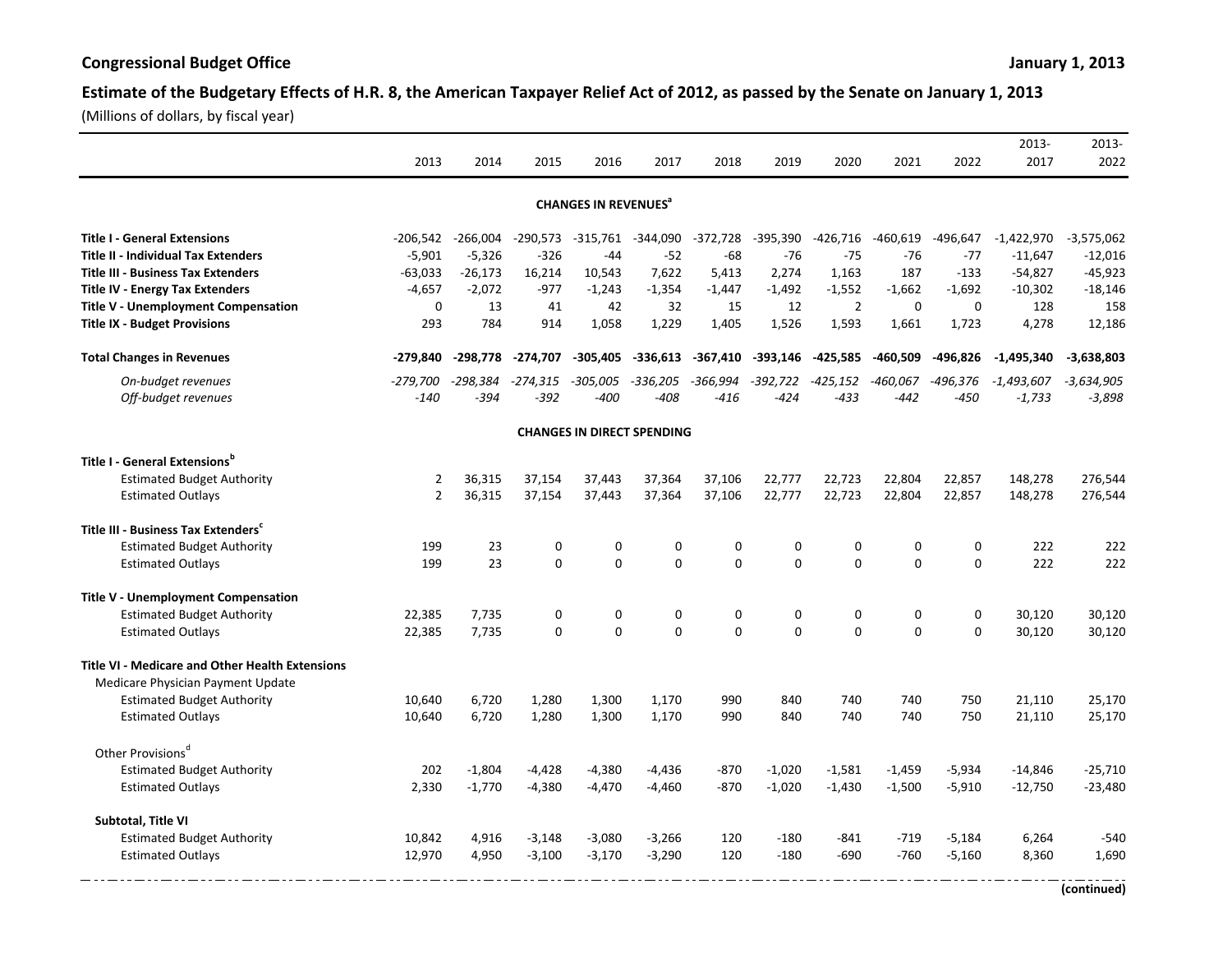## Estimate of the Budgetary Effects of H.R. 8, the American Taxpayer Relief Act of 2012, as passed by the Senate on January 1, 2013

(Millions of dollars, by fiscal year)

|                                                        | 2013           | 2014       | 2015       | 2016                                   | 2017        | 2018       | 2019        | 2020           | 2021        | 2022        | 2013-<br>2017 | 2013-<br>2022 |
|--------------------------------------------------------|----------------|------------|------------|----------------------------------------|-------------|------------|-------------|----------------|-------------|-------------|---------------|---------------|
|                                                        |                |            |            |                                        |             |            |             |                |             |             |               |               |
|                                                        |                |            |            | <b>CHANGES IN REVENUES<sup>®</sup></b> |             |            |             |                |             |             |               |               |
| <b>Title I - General Extensions</b>                    | $-206,542$     | $-266,004$ | $-290,573$ | $-315,761$                             | $-344,090$  | $-372,728$ | $-395,390$  | $-426,716$     | $-460,619$  | -496,647    | $-1,422,970$  | $-3,575,062$  |
| <b>Title II - Individual Tax Extenders</b>             | $-5,901$       | $-5,326$   | $-326$     | $-44$                                  | $-52$       | $-68$      | $-76$       | $-75$          | $-76$       | $-77$       | $-11,647$     | $-12,016$     |
| <b>Title III - Business Tax Extenders</b>              | $-63,033$      | $-26,173$  | 16,214     | 10,543                                 | 7,622       | 5,413      | 2,274       | 1,163          | 187         | $-133$      | $-54,827$     | $-45,923$     |
| <b>Title IV - Energy Tax Extenders</b>                 | $-4,657$       | $-2,072$   | $-977$     | $-1,243$                               | $-1,354$    | $-1,447$   | $-1,492$    | $-1,552$       | $-1,662$    | $-1.692$    | $-10,302$     | $-18,146$     |
| <b>Title V - Unemployment Compensation</b>             | $\mathbf 0$    | 13         | 41         | 42                                     | 32          | 15         | 12          | $\overline{2}$ | $\mathbf 0$ | $\mathbf 0$ | 128           | 158           |
| <b>Title IX - Budget Provisions</b>                    | 293            | 784        | 914        | 1,058                                  | 1,229       | 1,405      | 1,526       | 1,593          | 1,661       | 1,723       | 4,278         | 12,186        |
| <b>Total Changes in Revenues</b>                       | -279,840       | $-298,778$ | -274,707   | $-305,405$                             | -336,613    | -367,410   | $-393,146$  | -425,585       | -460,509    | $-496,826$  | $-1,495,340$  | $-3,638,803$  |
| On-budget revenues                                     | $-279,700$     | $-298,384$ | $-274,315$ | -305,005                               | $-336,205$  | $-366,994$ | -392,722    | $-425,152$     | -460,067    | -496,376    | $-1,493,607$  | $-3,634,905$  |
| Off-budget revenues                                    | $-140$         | -394       | -392       | $-400$                                 | $-408$      | $-416$     | -424        | $-433$         | $-442$      | $-450$      | $-1,733$      | $-3,898$      |
|                                                        |                |            |            | <b>CHANGES IN DIRECT SPENDING</b>      |             |            |             |                |             |             |               |               |
| Title I - General Extensions <sup>b</sup>              |                |            |            |                                        |             |            |             |                |             |             |               |               |
| <b>Estimated Budget Authority</b>                      | 2              | 36,315     | 37,154     | 37,443                                 | 37,364      | 37,106     | 22,777      | 22,723         | 22,804      | 22,857      | 148,278       | 276,544       |
| <b>Estimated Outlays</b>                               | $\overline{2}$ | 36,315     | 37,154     | 37,443                                 | 37,364      | 37,106     | 22,777      | 22,723         | 22,804      | 22,857      | 148,278       | 276,544       |
| Title III - Business Tax Extenders                     |                |            |            |                                        |             |            |             |                |             |             |               |               |
| <b>Estimated Budget Authority</b>                      | 199            | 23         | 0          | 0                                      | $\mathbf 0$ | 0          | $\mathbf 0$ | 0              | $\mathbf 0$ | 0           | 222           | 222           |
| <b>Estimated Outlays</b>                               | 199            | 23         | $\Omega$   | $\Omega$                               | $\Omega$    | $\Omega$   | $\Omega$    | $\Omega$       | $\Omega$    | 0           | 222           | 222           |
| Title V - Unemployment Compensation                    |                |            |            |                                        |             |            |             |                |             |             |               |               |
| <b>Estimated Budget Authority</b>                      | 22,385         | 7,735      | 0          | 0                                      | 0           | 0          | 0           | 0              | 0           | 0           | 30,120        | 30,120        |
| <b>Estimated Outlays</b>                               | 22,385         | 7,735      | $\Omega$   | $\Omega$                               | $\Omega$    | $\Omega$   | $\Omega$    | $\Omega$       | $\Omega$    | $\Omega$    | 30,120        | 30,120        |
| <b>Title VI - Medicare and Other Health Extensions</b> |                |            |            |                                        |             |            |             |                |             |             |               |               |
| Medicare Physician Payment Update                      |                |            |            |                                        |             |            |             |                |             |             |               |               |
| <b>Estimated Budget Authority</b>                      | 10,640         | 6,720      | 1,280      | 1,300                                  | 1,170       | 990        | 840         | 740            | 740         | 750         | 21,110        | 25,170        |
| <b>Estimated Outlays</b>                               | 10,640         | 6,720      | 1,280      | 1,300                                  | 1,170       | 990        | 840         | 740            | 740         | 750         | 21,110        | 25,170        |
| Other Provisions <sup>d</sup>                          |                |            |            |                                        |             |            |             |                |             |             |               |               |
| <b>Estimated Budget Authority</b>                      | 202            | $-1,804$   | $-4,428$   | $-4,380$                               | $-4,436$    | $-870$     | $-1,020$    | $-1,581$       | $-1,459$    | $-5,934$    | $-14,846$     | $-25,710$     |
| <b>Estimated Outlays</b>                               | 2,330          | $-1,770$   | $-4,380$   | $-4,470$                               | $-4,460$    | $-870$     | $-1,020$    | $-1,430$       | $-1,500$    | $-5,910$    | $-12,750$     | $-23,480$     |
| Subtotal, Title VI                                     |                |            |            |                                        |             |            |             |                |             |             |               |               |
| <b>Estimated Budget Authority</b>                      | 10,842         | 4,916      | $-3,148$   | $-3,080$                               | $-3,266$    | 120        | $-180$      | $-841$         | $-719$      | $-5,184$    | 6,264         | $-540$        |
| <b>Estimated Outlays</b>                               | 12,970         | 4,950      | $-3,100$   | $-3,170$                               | $-3,290$    | 120        | $-180$      | $-690$         | $-760$      | $-5,160$    | 8,360         | 1,690         |
|                                                        |                |            |            |                                        |             |            |             |                |             |             |               |               |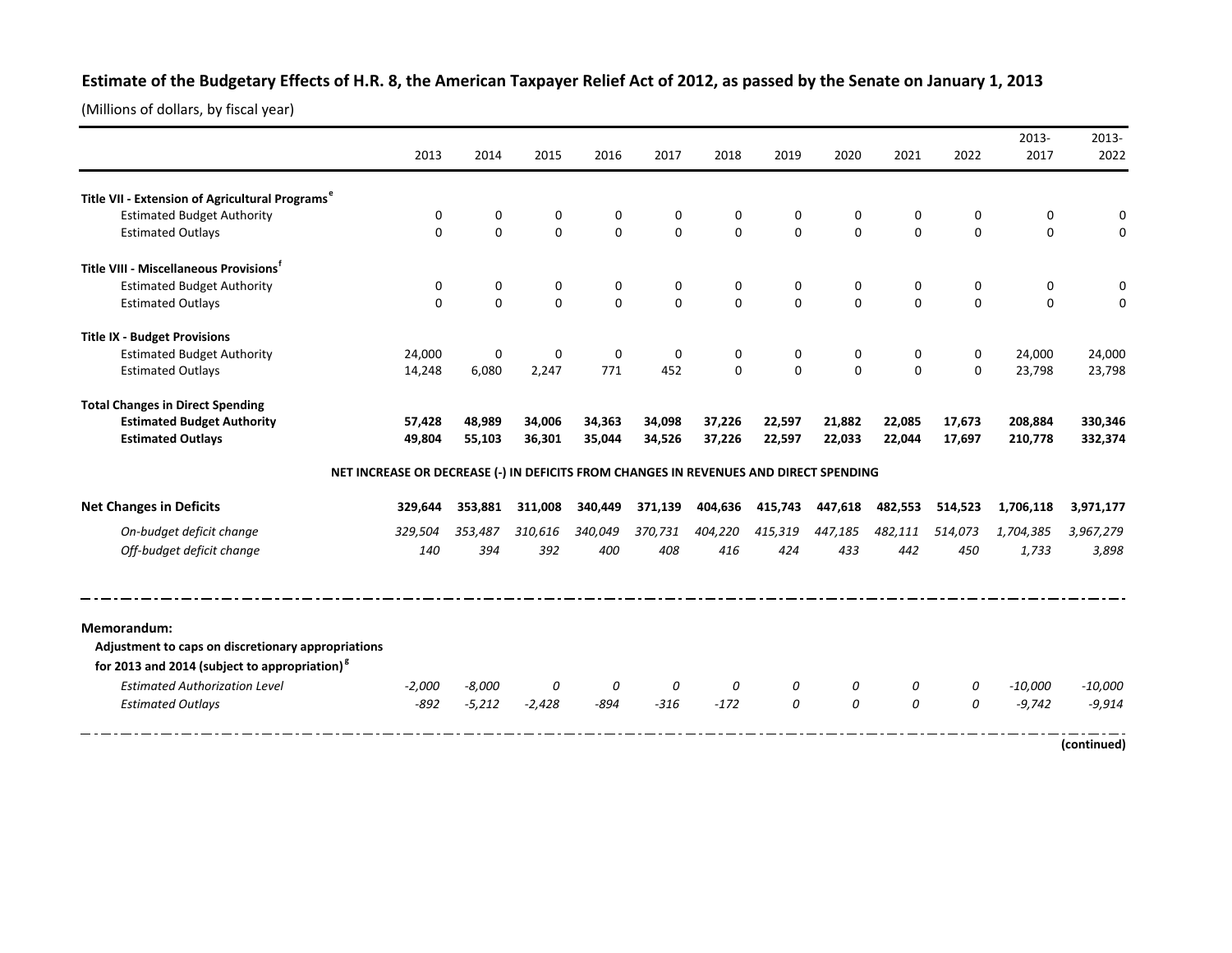## Estimate of the Budgetary Effects of H.R. 8, the American Taxpayer Relief Act of 2012, as passed by the Senate on January 1, 2013

(Millions of dollars, by fiscal year)

|                                                             | 2013        | 2014                                                                                  | 2015        | 2016        | 2017        | 2018     | 2019        | 2020         | 2021          | 2022     | 2013-<br>2017 | 2013-<br>2022 |
|-------------------------------------------------------------|-------------|---------------------------------------------------------------------------------------|-------------|-------------|-------------|----------|-------------|--------------|---------------|----------|---------------|---------------|
|                                                             |             |                                                                                       |             |             |             |          |             |              |               |          |               |               |
| Title VII - Extension of Agricultural Programs <sup>e</sup> |             |                                                                                       |             |             |             |          |             |              |               |          |               |               |
| <b>Estimated Budget Authority</b>                           | $\mathbf 0$ | 0                                                                                     | 0           | $\mathbf 0$ | $\mathbf 0$ | 0        | $\mathbf 0$ | 0            | $\mathbf 0$   | 0        | 0             | 0             |
| <b>Estimated Outlays</b>                                    | $\Omega$    | $\Omega$                                                                              | $\Omega$    | $\Omega$    | $\Omega$    | $\Omega$ | $\Omega$    | $\Omega$     | $\Omega$      | $\Omega$ | $\Omega$      | $\Omega$      |
| Title VIII - Miscellaneous Provisions <sup>t</sup>          |             |                                                                                       |             |             |             |          |             |              |               |          |               |               |
| <b>Estimated Budget Authority</b>                           | 0           | 0                                                                                     | 0           | $\mathbf 0$ | 0           | 0        | 0           | $\pmb{0}$    | 0             | 0        | 0             |               |
| <b>Estimated Outlays</b>                                    | $\Omega$    | $\Omega$                                                                              | $\Omega$    | $\mathbf 0$ | $\Omega$    | $\Omega$ | $\Omega$    | $\mathbf{0}$ | $\Omega$      | $\Omega$ | $\Omega$      | 0             |
| <b>Title IX - Budget Provisions</b>                         |             |                                                                                       |             |             |             |          |             |              |               |          |               |               |
| <b>Estimated Budget Authority</b>                           | 24,000      | 0                                                                                     | $\mathbf 0$ | $\mathbf 0$ | $\mathbf 0$ | 0        | 0           | 0            | 0             | 0        | 24,000        | 24,000        |
| <b>Estimated Outlays</b>                                    | 14,248      | 6,080                                                                                 | 2,247       | 771         | 452         | $\Omega$ | $\Omega$    | $\Omega$     | $\Omega$      | $\Omega$ | 23,798        | 23,798        |
| <b>Total Changes in Direct Spending</b>                     |             |                                                                                       |             |             |             |          |             |              |               |          |               |               |
| <b>Estimated Budget Authority</b>                           | 57,428      | 48,989                                                                                | 34,006      | 34,363      | 34,098      | 37,226   | 22,597      | 21,882       | 22,085        | 17,673   | 208,884       | 330,346       |
| <b>Estimated Outlays</b>                                    | 49,804      | 55,103                                                                                | 36,301      | 35,044      | 34,526      | 37,226   | 22,597      | 22,033       | 22,044        | 17,697   | 210,778       | 332,374       |
|                                                             |             | NET INCREASE OR DECREASE (-) IN DEFICITS FROM CHANGES IN REVENUES AND DIRECT SPENDING |             |             |             |          |             |              |               |          |               |               |
| <b>Net Changes in Deficits</b>                              | 329,644     | 353,881                                                                               | 311,008     | 340.449     | 371,139     | 404,636  | 415,743     | 447,618      | 482,553       | 514,523  | 1,706,118     | 3,971,177     |
| On-budget deficit change                                    | 329,504     | 353,487                                                                               | 310.616     | 340,049     | 370,731     | 404,220  | 415,319     | 447,185      | 482,111       | 514,073  | 1,704,385     | 3,967,279     |
| Off-budget deficit change                                   | 140         | 394                                                                                   | 392         | 400         | 408         | 416      | 424         | 433          | 442           | 450      | 1,733         | 3,898         |
| Memorandum:                                                 |             |                                                                                       |             |             |             |          |             |              |               |          |               |               |
| Adjustment to caps on discretionary appropriations          |             |                                                                                       |             |             |             |          |             |              |               |          |               |               |
| for 2013 and 2014 (subject to appropriation) $g$            |             |                                                                                       |             |             |             |          |             |              |               |          |               |               |
| <b>Estimated Authorization Level</b>                        | $-2,000$    | $-8,000$                                                                              | 0           | 0           | 0           | $\theta$ | 0           | 0            | 0             | 0        | $-10,000$     | $-10,000$     |
| <b>Estimated Outlays</b>                                    | $-892$      | $-5,212$                                                                              | $-2,428$    | $-894$      | $-316$      | $-172$   | $\theta$    | $\theta$     | $\mathcal{O}$ | 0        | $-9,742$      | $-9,914$      |
|                                                             |             |                                                                                       |             |             |             |          |             |              |               |          |               | (continued)   |